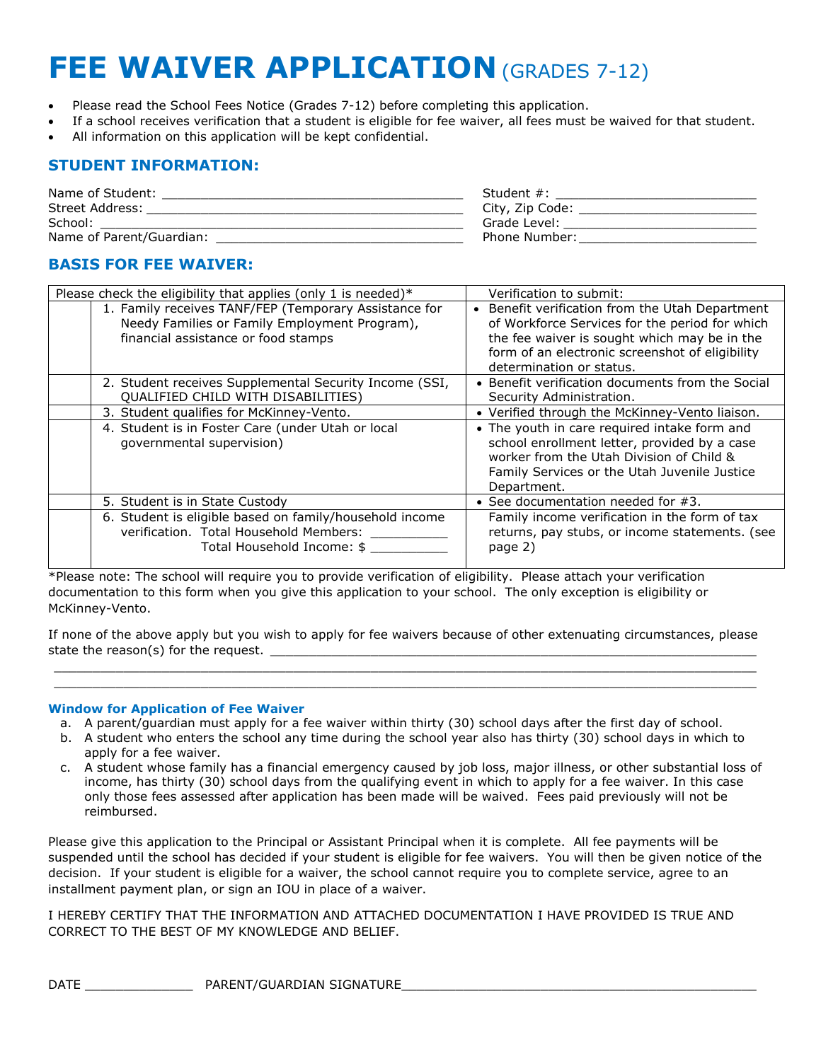# **FEE WAIVER APPLICATION** (GRADES 7-12)

- Please read the School Fees Notice (Grades 7-12) before completing this application.
- If a school receives verification that a student is eligible for fee waiver, all fees must be waived for that student.
- All information on this application will be kept confidential.

## **STUDENT INFORMATION:**

| Name of Student:         | Student $#$ :   |
|--------------------------|-----------------|
| Street Address:          | City, Zip Code: |
| School:                  | Grade Level:    |
| Name of Parent/Guardian: | Phone Number:   |

# **BASIS FOR FEE WAIVER:**

| Please check the eligibility that applies (only 1 is needed)* | Verification to submit:                          |
|---------------------------------------------------------------|--------------------------------------------------|
| 1. Family receives TANF/FEP (Temporary Assistance for         | Benefit verification from the Utah Department    |
| Needy Families or Family Employment Program),                 | of Workforce Services for the period for which   |
| financial assistance or food stamps                           | the fee waiver is sought which may be in the     |
|                                                               | form of an electronic screenshot of eligibility  |
|                                                               |                                                  |
|                                                               | determination or status.                         |
| 2. Student receives Supplemental Security Income (SSI,        | • Benefit verification documents from the Social |
| QUALIFIED CHILD WITH DISABILITIES)                            | Security Administration.                         |
| 3. Student qualifies for McKinney-Vento.                      | • Verified through the McKinney-Vento liaison.   |
| 4. Student is in Foster Care (under Utah or local             | • The youth in care required intake form and     |
| qovernmental supervision)                                     | school enrollment letter, provided by a case     |
|                                                               | worker from the Utah Division of Child &         |
|                                                               | Family Services or the Utah Juvenile Justice     |
|                                                               | Department.                                      |
| 5. Student is in State Custody                                | • See documentation needed for $#3$ .            |
| 6. Student is eligible based on family/household income       | Family income verification in the form of tax    |
| verification. Total Household Members:                        | returns, pay stubs, or income statements. (see   |
| Total Household Income: \$                                    | page 2)                                          |
|                                                               |                                                  |
|                                                               |                                                  |

\*Please note: The school will require you to provide verification of eligibility. Please attach your verification documentation to this form when you give this application to your school. The only exception is eligibility or McKinney-Vento.

If none of the above apply but you wish to apply for fee waivers because of other extenuating circumstances, please state the reason(s) for the request. \_\_\_\_\_\_\_\_\_\_\_\_\_\_\_\_\_\_\_\_\_\_\_\_\_\_\_\_\_\_\_\_\_\_\_\_\_\_\_\_\_\_\_\_\_\_\_\_\_\_\_\_\_\_\_\_\_\_\_\_\_\_\_

 $\_$  ,  $\_$  ,  $\_$  ,  $\_$  ,  $\_$  ,  $\_$  ,  $\_$  ,  $\_$  ,  $\_$  ,  $\_$  ,  $\_$  ,  $\_$  ,  $\_$  ,  $\_$  ,  $\_$  ,  $\_$  ,  $\_$  ,  $\_$  ,  $\_$  ,  $\_$  ,  $\_$  ,  $\_$  ,  $\_$  ,  $\_$  ,  $\_$  ,  $\_$  ,  $\_$  ,  $\_$  ,  $\_$  ,  $\_$  ,  $\_$  ,  $\_$  ,  $\_$  ,  $\_$  ,  $\_$  ,  $\_$  ,  $\_$  ,  $\_$  ,  $\_$  ,  $\_$  ,  $\_$  ,  $\_$  ,  $\_$  ,  $\_$  ,  $\_$  ,  $\_$  ,  $\_$  ,  $\_$  ,  $\_$  ,  $\_$  ,  $\_$  ,  $\_$  ,  $\_$  ,  $\_$  ,  $\_$  ,  $\_$  ,  $\_$  ,  $\_$  ,  $\_$  ,  $\_$  ,  $\_$  ,  $\_$  ,  $\_$  ,  $\_$  ,  $\_$  ,  $\_$  ,  $\_$  ,  $\_$  ,  $\_$  ,  $\_$  ,  $\_$  ,  $\_$  ,  $\_$  ,  $\_$  ,

## **Window for Application of Fee Waiver**

- a. A parent/guardian must apply for a fee waiver within thirty (30) school days after the first day of school.
- b. A student who enters the school any time during the school year also has thirty (30) school days in which to apply for a fee waiver.
- c. A student whose family has a financial emergency caused by job loss, major illness, or other substantial loss of income, has thirty (30) school days from the qualifying event in which to apply for a fee waiver. In this case only those fees assessed after application has been made will be waived. Fees paid previously will not be reimbursed.

Please give this application to the Principal or Assistant Principal when it is complete. All fee payments will be suspended until the school has decided if your student is eligible for fee waivers. You will then be given notice of the decision. If your student is eligible for a waiver, the school cannot require you to complete service, agree to an installment payment plan, or sign an IOU in place of a waiver.

I HEREBY CERTIFY THAT THE INFORMATION AND ATTACHED DOCUMENTATION I HAVE PROVIDED IS TRUE AND CORRECT TO THE BEST OF MY KNOWLEDGE AND BELIEF.

DATE \_\_\_\_\_\_\_\_\_\_\_\_\_\_ PARENT/GUARDIAN SIGNATURE\_\_\_\_\_\_\_\_\_\_\_\_\_\_\_\_\_\_\_\_\_\_\_\_\_\_\_\_\_\_\_\_\_\_\_\_\_\_\_\_\_\_\_\_\_\_